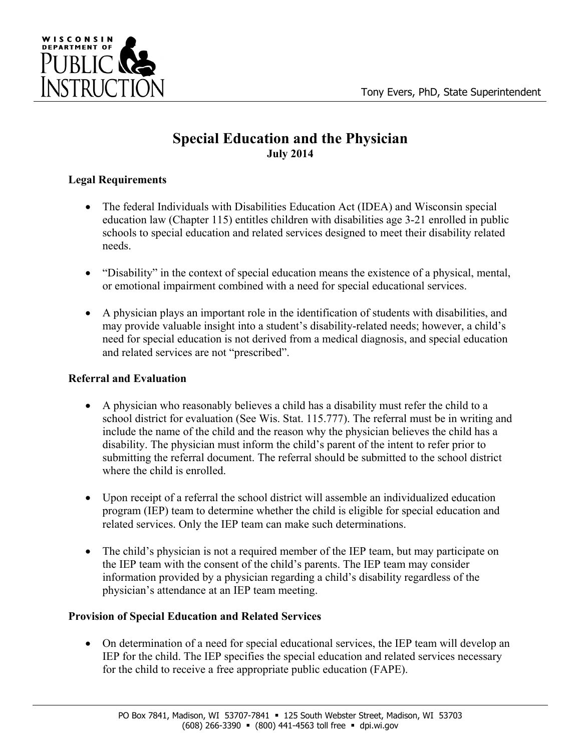

# **Special Education and the Physician July 2014**

## **Legal Requirements**

- The federal Individuals with Disabilities Education Act (IDEA) and Wisconsin special education law (Chapter 115) entitles children with disabilities age 3-21 enrolled in public schools to special education and related services designed to meet their disability related needs.
- "Disability" in the context of special education means the existence of a physical, mental, or emotional impairment combined with a need for special educational services.
- A physician plays an important role in the identification of students with disabilities, and may provide valuable insight into a student's disability-related needs; however, a child's need for special education is not derived from a medical diagnosis, and special education and related services are not "prescribed".

## **Referral and Evaluation**

- A physician who reasonably believes a child has a disability must refer the child to a school district for evaluation (See Wis. Stat. 115.777). The referral must be in writing and include the name of the child and the reason why the physician believes the child has a disability. The physician must inform the child's parent of the intent to refer prior to submitting the referral document. The referral should be submitted to the school district where the child is enrolled.
- Upon receipt of a referral the school district will assemble an individualized education program (IEP) team to determine whether the child is eligible for special education and related services. Only the IEP team can make such determinations.
- The child's physician is not a required member of the IEP team, but may participate on the IEP team with the consent of the child's parents. The IEP team may consider information provided by a physician regarding a child's disability regardless of the physician's attendance at an IEP team meeting.

# **Provision of Special Education and Related Services**

 On determination of a need for special educational services, the IEP team will develop an IEP for the child. The IEP specifies the special education and related services necessary for the child to receive a free appropriate public education (FAPE).